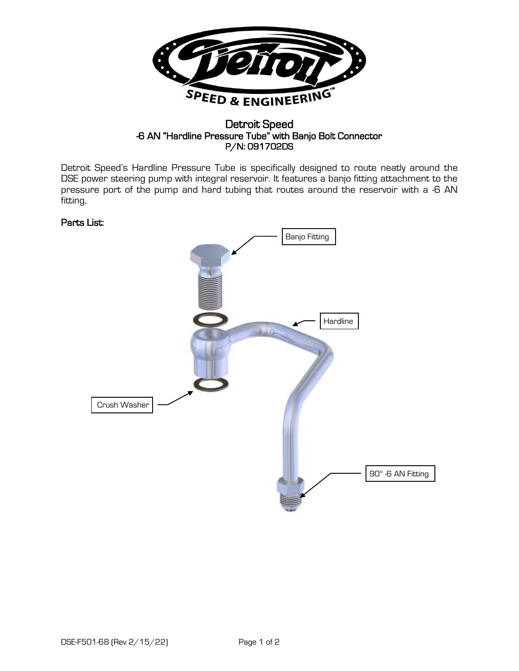

## Detroit Speed -6 AN "Hardline Pressure Tube" with Banjo Bolt Connector P/N: 091702DS

Detroit Speed's Hardline Pressure Tube is specifically designed to route neatly around the DSE power steering pump with integral reservoir. It features a banjo fitting attachment to the pressure port of the pump and hard tubing that routes around the reservoir with a -6 AN fitting,

## Parts List: